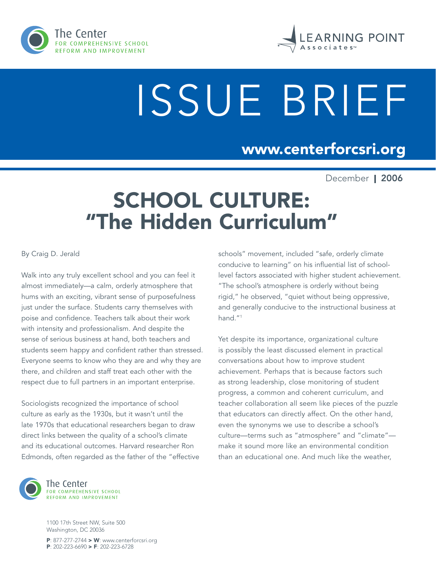



# ISSUE BRIEF

# www.centerforcsri.org

December | 2006

# School Culture: "The Hidden Curriculum"

By Craig D. Jerald

Walk into any truly excellent school and you can feel it almost immediately—a calm, orderly atmosphere that hums with an exciting, vibrant sense of purposefulness just under the surface. Students carry themselves with poise and confidence. Teachers talk about their work with intensity and professionalism. And despite the sense of serious business at hand, both teachers and students seem happy and confident rather than stressed. Everyone seems to know who they are and why they are there, and children and staff treat each other with the respect due to full partners in an important enterprise.

Sociologists recognized the importance of school culture as early as the 1930s, but it wasn't until the late 1970s that educational researchers began to draw direct links between the quality of a school's climate and its educational outcomes. Harvard researcher Ron Edmonds, often regarded as the father of the "effective



Yet despite its importance, organizational culture is possibly the least discussed element in practical conversations about how to improve student achievement. Perhaps that is because factors such as strong leadership, close monitoring of student progress, a common and coherent curriculum, and teacher collaboration all seem like pieces of the puzzle that educators can directly affect. On the other hand, even the synonyms we use to describe a school's culture—terms such as "atmosphere" and "climate" make it sound more like an environmental condition than an educational one. And much like the weather,



The Center FOR COMPREHENSIVE SCHOOL REFORM AND IMPROVEMENT

1100 17th Street NW, Suite 500 Washington, DC 20036

P: 877-277-2744 > W: www.centerforcsri.org P: 202-223-6690 > F: 202-223-6728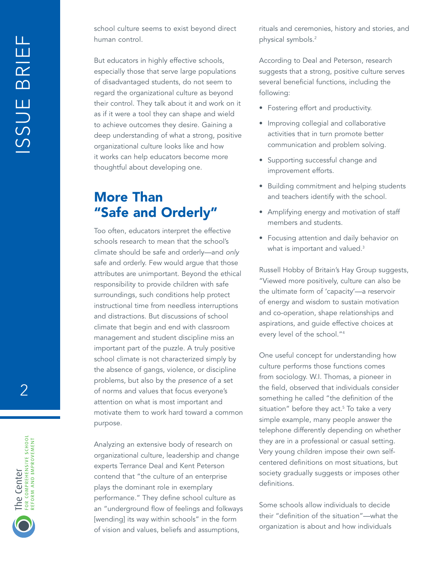school culture seems to exist beyond direct human control.

But educators in highly effective schools, especially those that serve large populations of disadvantaged students, do not seem to regard the organizational culture as beyond their control. They talk about it and work on it as if it were a tool they can shape and wield to achieve outcomes they desire. Gaining a deep understanding of what a strong, positive organizational culture looks like and how it works can help educators become more thoughtful about developing one.

## More Than "Safe and Orderly"

Too often, educators interpret the effective schools research to mean that the school's climate should be safe and orderly—and *only* safe and orderly. Few would argue that those attributes are unimportant. Beyond the ethical responsibility to provide children with safe surroundings, such conditions help protect instructional time from needless interruptions and distractions. But discussions of school climate that begin and end with classroom management and student discipline miss an important part of the puzzle. A truly positive school climate is not characterized simply by the absence of gangs, violence, or discipline problems, but also by the *presence* of a set of norms and values that focus everyone's attention on what is most important and motivate them to work hard toward a common purpose.

Analyzing an extensive body of research on organizational culture, leadership and change experts Terrance Deal and Kent Peterson contend that "the culture of an enterprise plays the dominant role in exemplary performance." They define school culture as an "underground flow of feelings and folkways [wending] its way within schools" in the form of vision and values, beliefs and assumptions,

rituals and ceremonies, history and stories, and physical symbols. 2

According to Deal and Peterson, research suggests that a strong, positive culture serves several beneficial functions, including the following:

- Fostering effort and productivity.
- Improving collegial and collaborative activities that in turn promote better communication and problem solving.
- Supporting successful change and improvement efforts.
- Building commitment and helping students and teachers identify with the school.
- Amplifying energy and motivation of staff members and students.
- Focusing attention and daily behavior on what is important and valued. 3

Russell Hobby of Britain's Hay Group suggests, "Viewed more positively, culture can also be the ultimate form of 'capacity'—a reservoir of energy and wisdom to sustain motivation and co-operation, shape relationships and aspirations, and guide effective choices at every level of the school." 4

One useful concept for understanding how culture performs those functions comes from sociology. W.I. Thomas, a pioneer in the field, observed that individuals consider something he called "the definition of the situation" before they act. 5 To take a very simple example, many people answer the telephone differently depending on whether they are in a professional or casual setting. Very young children impose their own selfcentered definitions on most situations, but society gradually suggests or imposes other definitions.

Some schools allow individuals to decide their "definition of the situation"—what the organization is about and how individuals

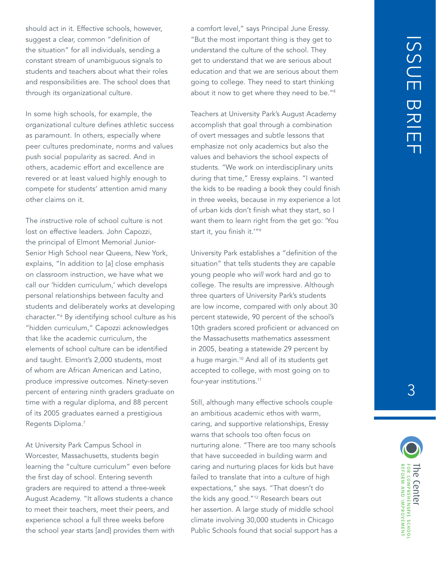should act in it. Effective schools, however, suggest a clear, common "definition of the situation" for all individuals, sending a constant stream of unambiguous signals to students and teachers about what their roles and responsibilities are. The school does that through its organizational culture.

In some high schools, for example, the organizational culture defines athletic success as paramount. In others, especially where peer cultures predominate, norms and values push social popularity as sacred. And in others, academic effort and excellence are revered or at least valued highly enough to compete for students' attention amid many other claims on it.

The instructive role of school culture is not lost on effective leaders. John Capozzi, the principal of Elmont Memorial Junior-Senior High School near Queens, New York, explains, "In addition to [a] close emphasis on classroom instruction, we have what we call our 'hidden curriculum,' which develops personal relationships between faculty and students and deliberately works at developing character."6 By identifying school culture as his "hidden curriculum," Capozzi acknowledges that like the academic curriculum, the elements of school culture can be identified and taught. Elmont's 2,000 students, most of whom are African American and Latino, produce impressive outcomes. Ninety-seven percent of entering ninth graders graduate on time with a regular diploma, and 88 percent of its 2005 graduates earned a prestigious Regents Diploma.7

At University Park Campus School in Worcester, Massachusetts, students begin learning the "culture curriculum" even before the first day of school. Entering seventh graders are required to attend a three-week August Academy. "It allows students a chance to meet their teachers, meet their peers, and experience school a full three weeks before the school year starts [and] provides them with a comfort level," says Principal June Eressy. "But the most important thing is they get to understand the culture of the school. They get to understand that we are serious about education and that we are serious about them going to college. They need to start thinking about it now to get where they need to be."8

Teachers at University Park's August Academy accomplish that goal through a combination of overt messages and subtle lessons that emphasize not only academics but also the values and behaviors the school expects of students. "We work on interdisciplinary units during that time," Eressy explains. "I wanted the kids to be reading a book they could finish in three weeks, because in my experience a lot of urban kids don't finish what they start, so I want them to learn right from the get go: 'You start it, you finish it.'"9

University Park establishes a "definition of the situation" that tells students they are capable young people who *will* work hard and go to college. The results are impressive. Although three quarters of University Park's students are low income, compared with only about 30 percent statewide, 90 percent of the school's 10th graders scored proficient or advanced on the Massachusetts mathematics assessment in 2005, beating a statewide 29 percent by a huge margin.10 And all of its students get accepted to college, with most going on to four-year institutions.11

Still, although many effective schools couple an ambitious academic ethos with warm, caring, and supportive relationships, Eressy warns that schools too often focus on nurturing alone. "There are too many schools that have succeeded in building warm and caring and nurturing places for kids but have failed to translate that into a culture of high expectations," she says. "That doesn't do the kids any good."12 Research bears out her assertion. A large study of middle school climate involving 30,000 students in Chicago Public Schools found that social support has a

FOR COMPREHENSIVE SCHOOL<br>REFORM AND IMPROVEMENT

he Center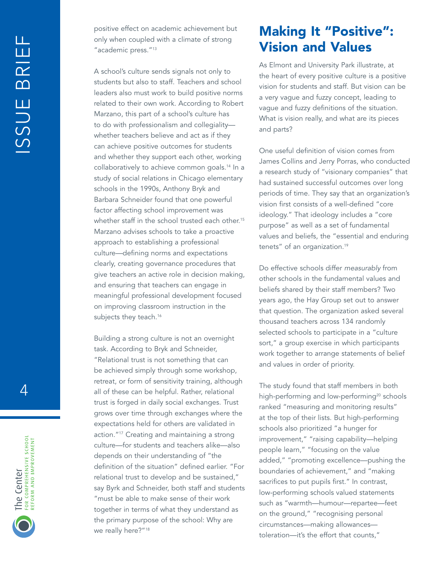positive effect on academic achievement but only when coupled with a climate of strong "academic press."<sup>13</sup>

A school's culture sends signals not only to students but also to staff. Teachers and school leaders also must work to build positive norms related to their own work. According to Robert Marzano, this part of a school's culture has to do with professionalism and collegiality whether teachers believe and act as if they can achieve positive outcomes for students and whether they support each other, working collaboratively to achieve common goals.14 In a study of social relations in Chicago elementary schools in the 1990s, Anthony Bryk and Barbara Schneider found that one powerful factor affecting school improvement was whether staff in the school trusted each other.<sup>15</sup> Marzano advises schools to take a proactive approach to establishing a professional culture—defining norms and expectations clearly, creating governance procedures that give teachers an active role in decision making, and ensuring that teachers can engage in meaningful professional development focused on improving classroom instruction in the subjects they teach.<sup>16</sup>

Building a strong culture is not an overnight task. According to Bryk and Schneider, "Relational trust is not something that can be achieved simply through some workshop, retreat, or form of sensitivity training, although all of these can be helpful. Rather, relational trust is forged in daily social exchanges. Trust grows over time through exchanges where the expectations held for others are validated in action."17 Creating and maintaining a strong culture—for students and teachers alike—also depends on their understanding of "the definition of the situation" defined earlier. "For relational trust to develop and be sustained," say Byrk and Schneider, both staff and students "must be able to make sense of their work together in terms of what they understand as the primary purpose of the school: Why are we really here?"18

#### Making It "Positive": Vision and Values

As Elmont and University Park illustrate, at the heart of every positive culture is a positive vision for students and staff. But vision can be a very vague and fuzzy concept, leading to vague and fuzzy definitions of the situation. What is vision really, and what are its pieces and parts?

One useful definition of vision comes from James Collins and Jerry Porras, who conducted a research study of "visionary companies" that had sustained successful outcomes over long periods of time. They say that an organization's vision first consists of a well-defined "core ideology." That ideology includes a "core purpose" as well as a set of fundamental values and beliefs, the "essential and enduring tenets" of an organization.<sup>19</sup>

Do effective schools differ *measurably* from other schools in the fundamental values and beliefs shared by their staff members? Two years ago, the Hay Group set out to answer that question. The organization asked several thousand teachers across 134 randomly selected schools to participate in a "culture sort," a group exercise in which participants work together to arrange statements of belief and values in order of priority.

The study found that staff members in both high-performing and low-performing<sup>20</sup> schools ranked "measuring and monitoring results" at the top of their lists. But high-performing schools also prioritized "a hunger for improvement," "raising capability—helping people learn," "focusing on the value added," "promoting excellence—pushing the boundaries of achievement," and "making sacrifices to put pupils first." In contrast, low-performing schools valued statements such as "warmth—humour—repartee—feet on the ground," "recognising personal circumstances—making allowances toleration—it's the effort that counts,"

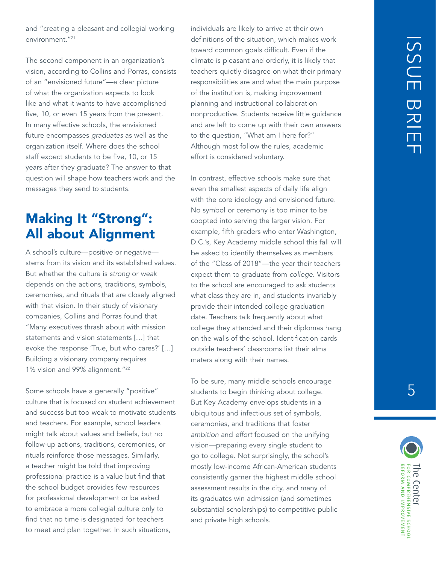and "creating a pleasant and collegial working environment."21

The second component in an organization's vision, according to Collins and Porras, consists of an "envisioned future"—a clear picture of what the organization expects to look like and what it wants to have accomplished five, 10, or even 15 years from the present. In many effective schools, the envisioned future encompasses *graduates* as well as the organization itself. Where does the school staff expect students to be five, 10, or 15 years after they graduate? The answer to that question will shape how teachers work and the messages they send to students.

#### Making It "Strong": All about Alignment

A school's culture—positive or negative stems from its vision and its established values. But whether the culture is *strong* or *weak*  depends on the actions, traditions, symbols, ceremonies, and rituals that are closely aligned with that vision. In their study of visionary companies, Collins and Porras found that "Many executives thrash about with mission statements and vision statements […] that evoke the response 'True, but who cares?' […] Building a visionary company requires 1% vision and 99% alignment."22

Some schools have a generally "positive" culture that is focused on student achievement and success but too weak to motivate students and teachers. For example, school leaders might talk about values and beliefs, but no follow-up actions, traditions, ceremonies, or rituals reinforce those messages. Similarly, a teacher might be told that improving professional practice is a value but find that the school budget provides few resources for professional development or be asked to embrace a more collegial culture only to find that no time is designated for teachers to meet and plan together. In such situations,

individuals are likely to arrive at their own definitions of the situation, which makes work toward common goals difficult. Even if the climate is pleasant and orderly, it is likely that teachers quietly disagree on what their primary responsibilities are and what the main purpose of the institution is, making improvement planning and instructional collaboration nonproductive. Students receive little guidance and are left to come up with their own answers to the question, "What am I here for?" Although most follow the rules, academic effort is considered voluntary.

In contrast, effective schools make sure that even the smallest aspects of daily life align with the core ideology and envisioned future. No symbol or ceremony is too minor to be coopted into serving the larger vision. For example, fifth graders who enter Washington, D.C.'s, Key Academy middle school this fall will be asked to identify themselves as members of the "Class of 2018"—the year their teachers expect them to graduate from *college*. Visitors to the school are encouraged to ask students what class they are in, and students invariably provide their intended college graduation date. Teachers talk frequently about what college they attended and their diplomas hang on the walls of the school. Identification cards outside teachers' classrooms list their alma maters along with their names.

To be sure, many middle schools encourage students to begin thinking about college. But Key Academy envelops students in a ubiquitous and infectious set of symbols, ceremonies, and traditions that foster *ambition* and *effort* focused on the unifying vision—preparing every single student to go to college. Not surprisingly, the school's mostly low-income African-American students consistently garner the highest middle school assessment results in the city, and many of its graduates win admission (and sometimes substantial scholarships) to competitive public and private high schools.

FOR COMPREHENSIVE SCHOOL<br>REFORM AND IMPROVEMENT

he Center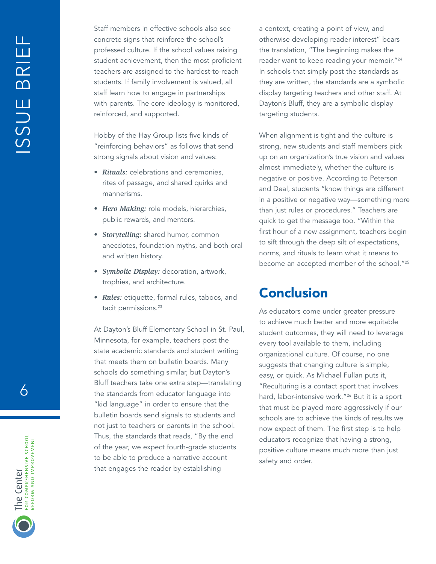Staff members in effective schools also see concrete signs that reinforce the school's professed culture. If the school values raising student achievement, then the most proficient teachers are assigned to the hardest-to-reach students. If family involvement is valued, all staff learn how to engage in partnerships with parents. The core ideology is monitored, reinforced, and supported.

Hobby of the Hay Group lists five kinds of "reinforcing behaviors" as follows that send strong signals about vision and values:

- *Rituals:* celebrations and ceremonies, rites of passage, and shared quirks and mannerisms.
- *Hero Making:* role models, hierarchies, public rewards, and mentors.
- *Storytelling:* shared humor, common anecdotes, foundation myths, and both oral and written history.
- *Symbolic Display:* decoration, artwork, trophies, and architecture.
- *Rules:* etiquette, formal rules, taboos, and tacit permissions.<sup>23</sup>

At Dayton's Bluff Elementary School in St. Paul, Minnesota, for example, teachers post the state academic standards and student writing that meets them on bulletin boards. Many schools do something similar, but Dayton's Bluff teachers take one extra step—translating the standards from educator language into "kid language" in order to ensure that the bulletin boards send signals to students and not just to teachers or parents in the school. Thus, the standards that reads, "By the end of the year, we expect fourth-grade students to be able to produce a narrative account that engages the reader by establishing

a context, creating a point of view, and otherwise developing reader interest" bears the translation, "The beginning makes the reader want to keep reading your memoir."24 In schools that simply post the standards as they are written, the standards are a symbolic display targeting teachers and other staff. At Dayton's Bluff, they are a symbolic display targeting students.

When alignment is tight and the culture is strong, new students and staff members pick up on an organization's true vision and values almost immediately, whether the culture is negative or positive. According to Peterson and Deal, students "know things are different in a positive or negative way—something more than just rules or procedures." Teachers are quick to get the message too. "Within the first hour of a new assignment, teachers begin to sift through the deep silt of expectations, norms, and rituals to learn what it means to become an accepted member of the school."25

#### Conclusion

As educators come under greater pressure to achieve much better and more equitable student outcomes, they will need to leverage every tool available to them, including organizational culture. Of course, no one suggests that changing culture is simple, easy, or quick. As Michael Fullan puts it, "Reculturing is a contact sport that involves hard, labor-intensive work."26 But it is a sport that must be played more aggressively if our schools are to achieve the kinds of results we now expect of them. The first step is to help educators recognize that having a strong, positive culture means much more than just safety and order.

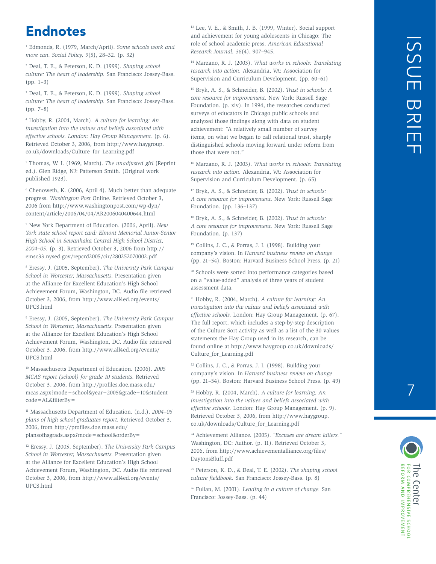## Endnotes

1 Edmonds, R. (1979, March/April). *Some schools work and more can. Social Policy, 9*(5), 28–32. (p. 32)

2 Deal, T. E., & Peterson, K. D. (1999). *Shaping school culture: The heart of leadership.* San Francisco: Jossey-Bass. (pp. 1–3)

3 Deal, T. E., & Peterson, K. D. (1999). *Shaping school culture: The heart of leadership.* San Francisco: Jossey-Bass. (pp. 7–8)

4 Hobby, R. (2004, March). *A culture for learning: An investigation into the values and beliefs associated with effective schools. London: Hay Group Management.* (p. 6). Retrieved October 3, 2006, from http://www.haygroup. co.uk/downloads/Culture\_for\_Learning.pd f

5 Thomas, W. I. (1969, March). *The unadjusted girl* (Reprint ed.). Glen Ridge, NJ: Patterson Smith. (Original work published 1923).

6 Chenoweth, K. (2006, April 4). Much better than adequate progress. *Washington Post* Online. Retrieved October 3, 2006 from http://www.washingtonpost.com/wp-dyn/ content/article/2006/04/04/AR2006040400644.htm l

7 New York Department of Education. (2006, April). *New York state school report card: Elmont Memorial Junior-Senior High School in Sewanhaka Central High School District, 2004–05.* (p. 3). Retrieved October 3, 2006 from http:// emsc33.nysed.gov/repcrd2005/cir/280252070002.pd f

8 Eressy, J. (2005, September). *The University Park Campus School in Worcester, Massachusetts.* Presentation given at the Alliance for Excellent Education's High School Achievement Forum, Washington, DC. Audio file retrieved October 3, 2006, from http://www.all4ed.org/events/ UPCS.htm l

9 Eressy, J. (2005, September). *The University Park Campus School in Worcester, Massachusetts.* Presentation given at the Alliance for Excellent Education's High School Achievement Forum, Washington, DC. Audio file retrieved October 3, 2006, from http://www.all4ed.org/events/ UPCS.htm l

10 Massachusetts Department of Education. (2006). *2005 MCAS report (school) for grade 10 students.* Retrieved October 3, 2006, from http://profiles.doe.mass.edu/ mcas.aspx?mod e =school&yea r =2005&grad e =10&student\_ cod e =AL&filterB y =

11 Massachusetts Department of Education. (n.d.). *2004–05 plans of high school graduates report.* Retrieved October 3, 2006, from http://profiles.doe.mass.edu/ plansofhsgrads.aspx?mod e =school&orderB y =

12 Eressy, J. (2005, September). *The University Park Campus School in Worcester, Massachusetts.* Presentation given at the Alliance for Excellent Education's High School Achievement Forum, Washington, DC. Audio file retrieved October 3, 2006, from http://www.all4ed.org/events/ UPCS.htm l

13 Lee, V. E., & Smith, J. B. (1999, Winter). Social support and achievement for young adolescents in Chicago: The role of school academic press. *American Educational Research Journal, 36*(4), 907–945.

14 Marzano, R. J. (2003). *What works in schools: Translating research into action.* Alexandria, VA: Association for Supervision and Curriculum Development. (pp. 60–61)

15 Bryk, A. S., & Schneider, B. (2002). *Trust in schools: A core resource for improvement.* New York: Russell Sage Foundation. (p. xiv). In 1994, the researches conducted surveys of educators in Chicago public schools and analyzed those findings along with data on student achievement: "A relatively small number of survey items, on what we began to call relational trust, sharply distinguished schools moving forward under reform from those that were not."

16 Marzano, R. J. (2003). *What works in schools: Translating research into action.* Alexandria, VA: Association for Supervision and Curriculum Development. (p. 65)

17 Bryk, A. S., & Schneider, B. (2002). *Trust in schools: A core resource for improvement.* New York: Russell Sage Foundation. (pp. 136–137)

18 Bryk, A. S., & Schneider, B. (2002). *Trust in schools: A core resource for improvement.* New York: Russell Sage Foundation. (p. 137)

19 Collins, J. C., & Porras, J. I. (1998). Building your company's vision. In *Harvard business review on change* (pp. 21–54). Boston: Harvard Business School Press. (p. 21)

20 Schools were sorted into performance categories based on a "value-added" analysis of three years of student assessment data.

21 Hobby, R. (2004, March). *A culture for learning: An investigation into the values and beliefs associated with effective schools.* London: Hay Group Management. (p. 67). The full report, which includes a step-by-step description of the Culture Sort activity as well as a list of the 30 values statements the Hay Group used in its research, can be found online at http://www.haygroup.co.uk/downloads/ Culture\_for\_Learning.pd f

22 Collins, J. C., & Porras, J. I. (1998). Building your company's vision. In *Harvard business review on change*  (pp. 21–54). Boston: Harvard Business School Press. (p. 49)

23 Hobby, R. (2004, March). *A culture for learning: An investigation into the values and beliefs associated with effective schools.* London: Hay Group Management. (p. 9). Retrieved October 3, 2006, from http://www.haygroup. co.uk/downloads/Culture\_for\_Learning.pd f

24 Achievement Alliance. (2005). *"Excuses are dream killers."*  Washington, DC: Author. (p. 11). Retrieved October 3, 2006, from http://www.achievementalliance.org/files/ DaytonsBluff.pd f

25 Peterson, K. D., & Deal, T. E. (2002). *The shaping school culture fieldbook.* San Francisco: Jossey-Bass. (p. 8)

26 Fullan, M. (2001). *Leading in a culture of change.* San Francisco: Jossey-Bass. (p. 44)